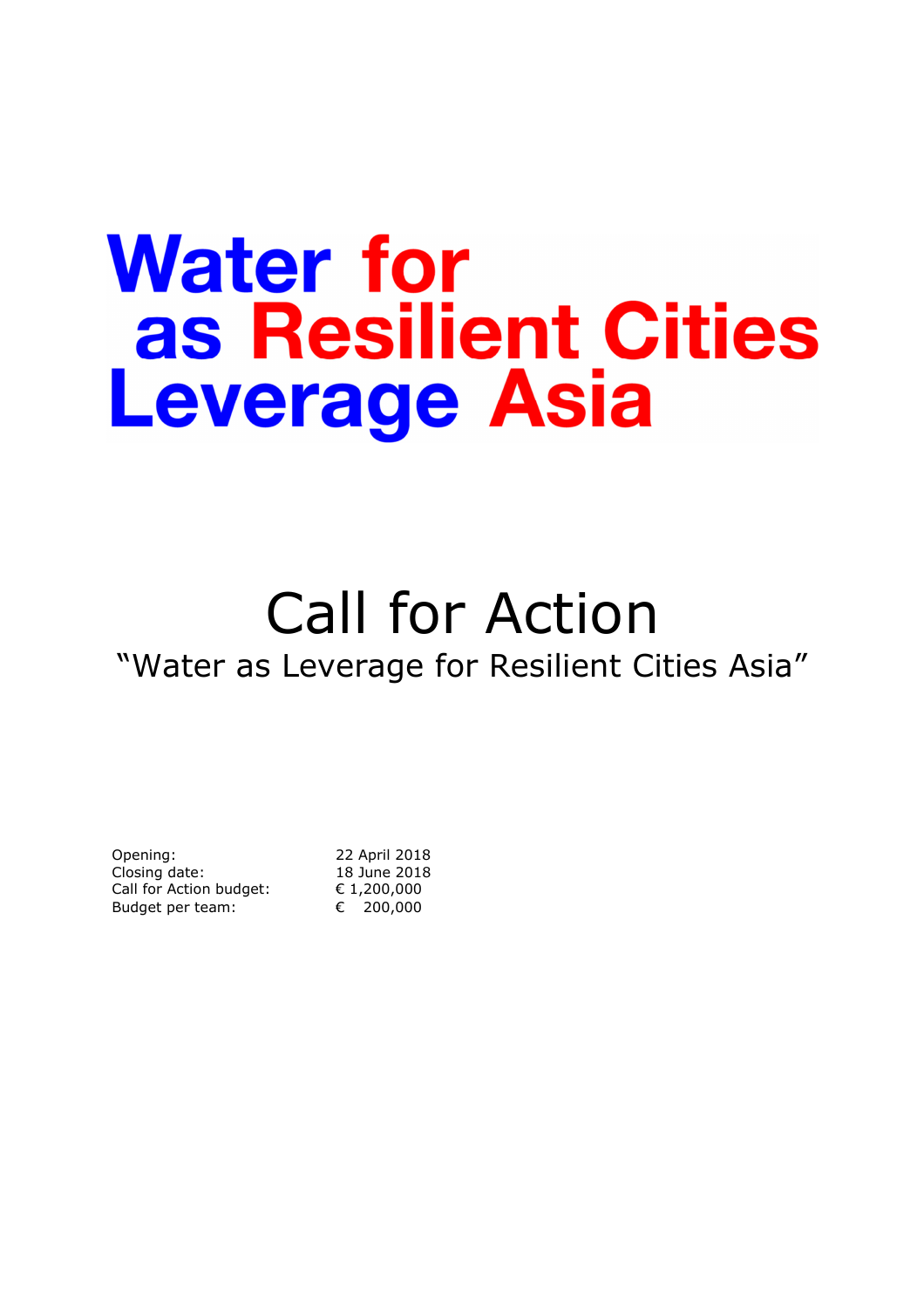# **Water for** as Resilient Cities **Leverage Asia**

# Call for Action "Water as Leverage for Resilient Cities Asia"

| Opening:                | 22 April 2018 |
|-------------------------|---------------|
| Closing date:           | 18 June 2018  |
| Call for Action budget: | € 1,200,000   |
| Budget per team:        | € 200,000     |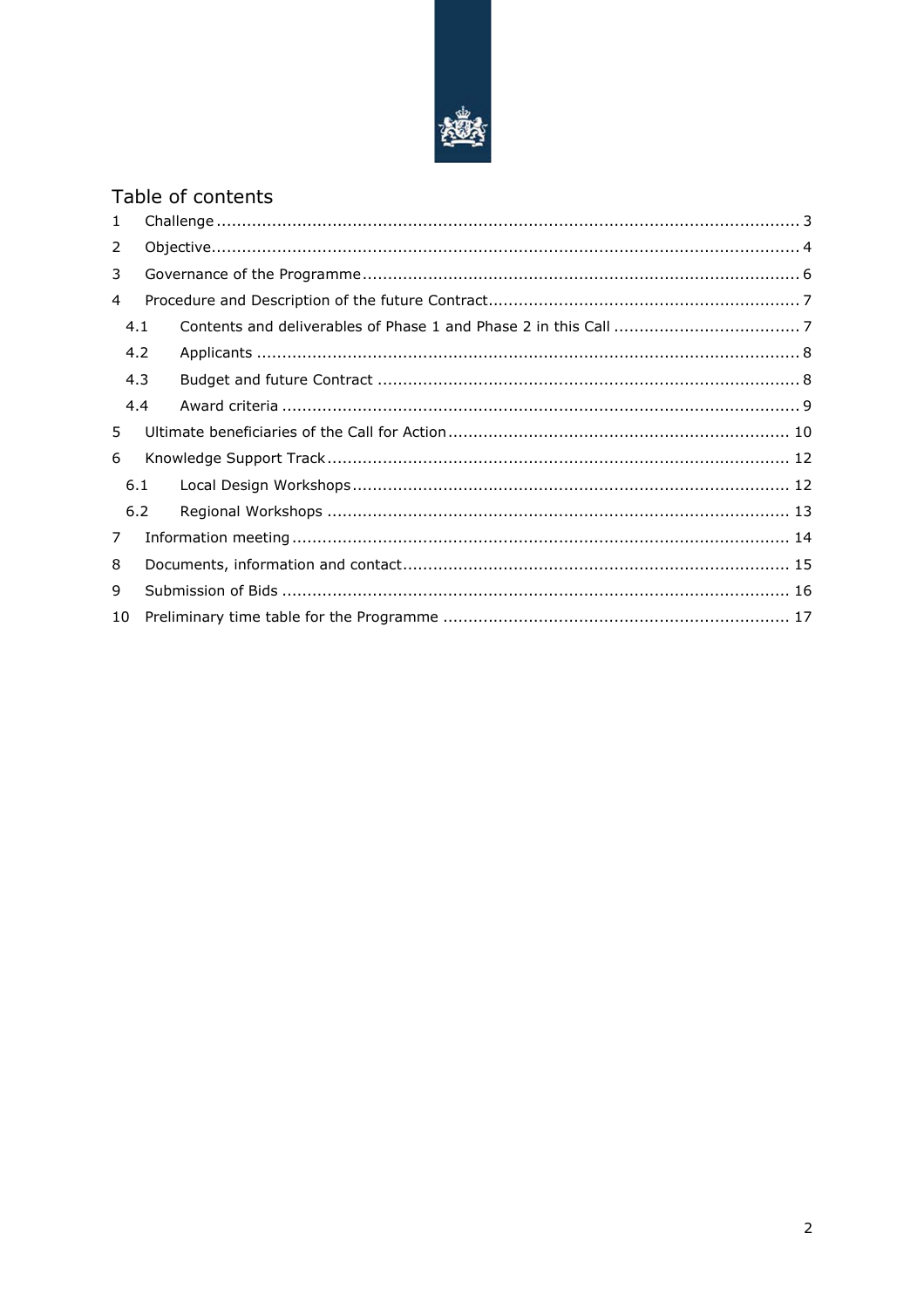

# Table of contents

| $\mathbf{1}$   |     |  |  |  |  |
|----------------|-----|--|--|--|--|
| $\overline{2}$ |     |  |  |  |  |
| 3              |     |  |  |  |  |
| 4              |     |  |  |  |  |
|                | 4.1 |  |  |  |  |
|                | 4.2 |  |  |  |  |
|                | 4.3 |  |  |  |  |
|                | 4.4 |  |  |  |  |
| 5.             |     |  |  |  |  |
| 6              |     |  |  |  |  |
|                | 6.1 |  |  |  |  |
|                | 6.2 |  |  |  |  |
| $\overline{7}$ |     |  |  |  |  |
| 8              |     |  |  |  |  |
| 9              |     |  |  |  |  |
| 10             |     |  |  |  |  |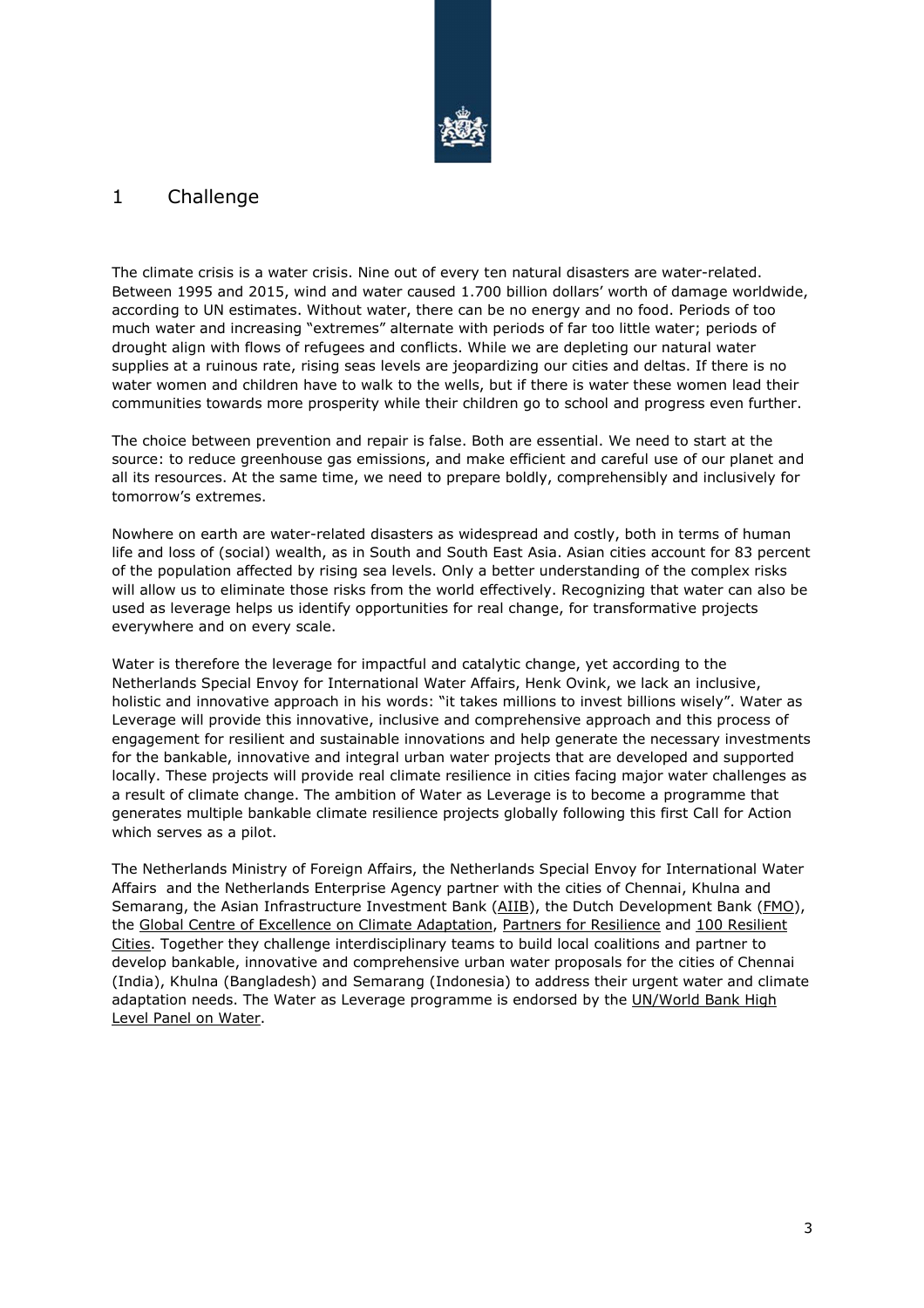

## 1 Challenge

The climate crisis is a water crisis. Nine out of every ten natural disasters are water-related. Between 1995 and 2015, wind and water caused 1.700 billion dollars' worth of damage worldwide, according to UN estimates. Without water, there can be no energy and no food. Periods of too much water and increasing "extremes" alternate with periods of far too little water; periods of drought align with flows of refugees and conflicts. While we are depleting our natural water supplies at a ruinous rate, rising seas levels are jeopardizing our cities and deltas. If there is no water women and children have to walk to the wells, but if there is water these women lead their communities towards more prosperity while their children go to school and progress even further.

The choice between prevention and repair is false. Both are essential. We need to start at the source: to reduce greenhouse gas emissions, and make efficient and careful use of our planet and all its resources. At the same time, we need to prepare boldly, comprehensibly and inclusively for tomorrow's extremes.

Nowhere on earth are water-related disasters as widespread and costly, both in terms of human life and loss of (social) wealth, as in South and South East Asia. Asian cities account for 83 percent of the population affected by rising sea levels. Only a better understanding of the complex risks will allow us to eliminate those risks from the world effectively. Recognizing that water can also be used as leverage helps us identify opportunities for real change, for transformative projects everywhere and on every scale.

Water is therefore the leverage for impactful and catalytic change, yet according to the Netherlands Special Envoy for International Water Affairs, Henk Ovink, we lack an inclusive, holistic and innovative approach in his words: "it takes millions to invest billions wisely". Water as Leverage will provide this innovative, inclusive and comprehensive approach and this process of engagement for resilient and sustainable innovations and help generate the necessary investments for the bankable, innovative and integral urban water projects that are developed and supported locally. These projects will provide real climate resilience in cities facing major water challenges as a result of climate change. The ambition of Water as Leverage is to become a programme that generates multiple bankable climate resilience projects globally following this first Call for Action which serves as a pilot.

The Netherlands Ministry of Foreign Affairs, the Netherlands Special Envoy for International Water Affairs and the Netherlands Enterprise Agency partner with the cities of Chennai, Khulna and Semarang, the Asian Infrastructure Investment Bank (AIIB), the Dutch Development Bank (FMO), the Global Centre of Excellence on Climate Adaptation, Partners for Resilience and 100 Resilient Cities. Together they challenge interdisciplinary teams to build local coalitions and partner to develop bankable, innovative and comprehensive urban water proposals for the cities of Chennai (India), Khulna (Bangladesh) and Semarang (Indonesia) to address their urgent water and climate adaptation needs. The Water as Leverage programme is endorsed by the UN/World Bank High Level Panel on Water.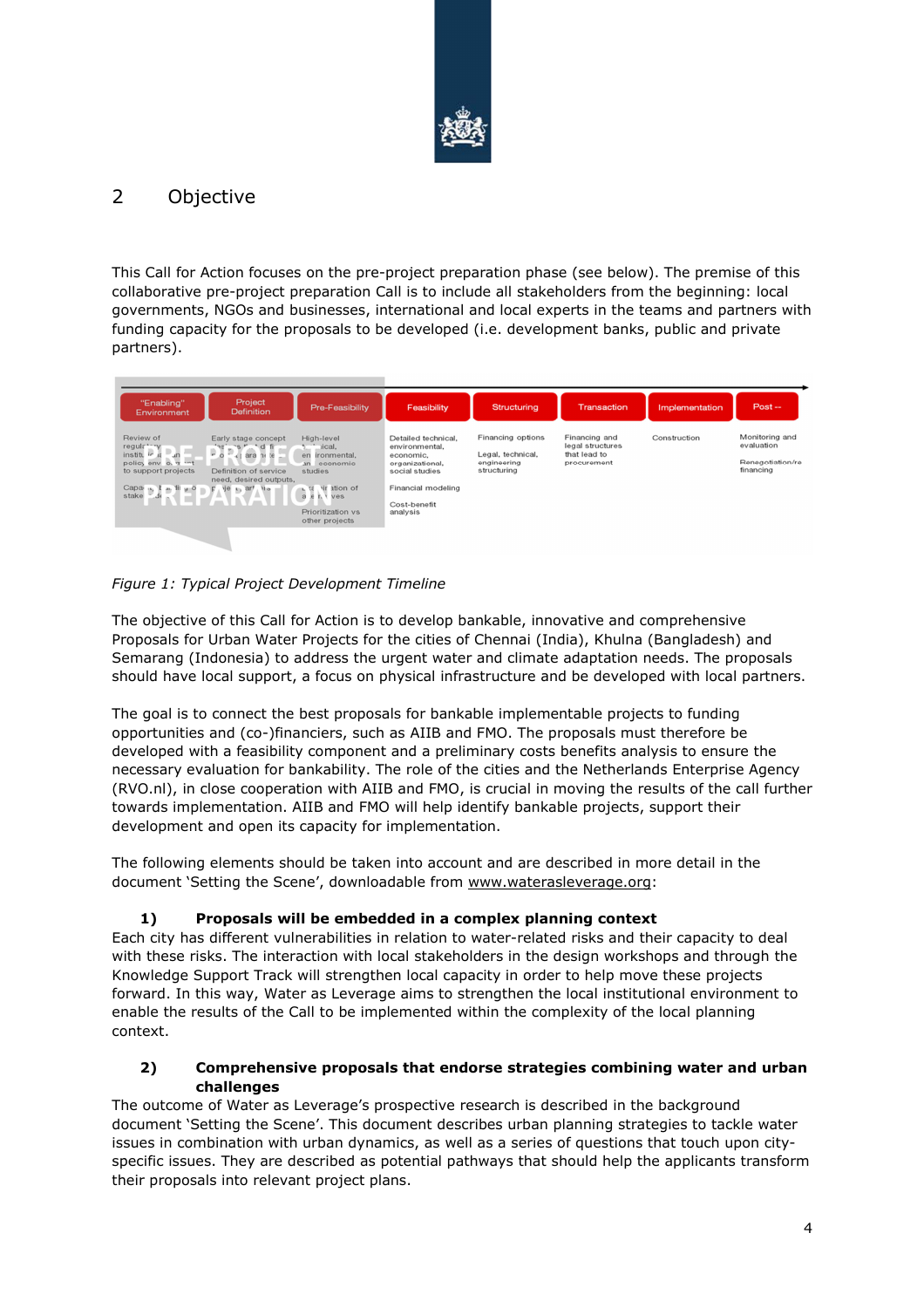

# 2 Objective

This Call for Action focuses on the pre-project preparation phase (see below). The premise of this collaborative pre-project preparation Call is to include all stakeholders from the beginning: local governments, NGOs and businesses, international and local experts in the teams and partners with funding capacity for the proposals to be developed (i.e. development banks, public and private partners).



*Figure 1: Typical Project Development Timeline* 

The objective of this Call for Action is to develop bankable, innovative and comprehensive Proposals for Urban Water Projects for the cities of Chennai (India), Khulna (Bangladesh) and Semarang (Indonesia) to address the urgent water and climate adaptation needs. The proposals should have local support, a focus on physical infrastructure and be developed with local partners.

The goal is to connect the best proposals for bankable implementable projects to funding opportunities and (co-)financiers, such as AIIB and FMO. The proposals must therefore be developed with a feasibility component and a preliminary costs benefits analysis to ensure the necessary evaluation for bankability. The role of the cities and the Netherlands Enterprise Agency (RVO.nl), in close cooperation with AIIB and FMO, is crucial in moving the results of the call further towards implementation. AIIB and FMO will help identify bankable projects, support their development and open its capacity for implementation.

The following elements should be taken into account and are described in more detail in the document 'Setting the Scene', downloadable from www.waterasleverage.org:

#### **1) Proposals will be embedded in a complex planning context**

Each city has different vulnerabilities in relation to water-related risks and their capacity to deal with these risks. The interaction with local stakeholders in the design workshops and through the Knowledge Support Track will strengthen local capacity in order to help move these projects forward. In this way, Water as Leverage aims to strengthen the local institutional environment to enable the results of the Call to be implemented within the complexity of the local planning context.

#### **2) Comprehensive proposals that endorse strategies combining water and urban challenges**

The outcome of Water as Leverage's prospective research is described in the background document 'Setting the Scene'. This document describes urban planning strategies to tackle water issues in combination with urban dynamics, as well as a series of questions that touch upon cityspecific issues. They are described as potential pathways that should help the applicants transform their proposals into relevant project plans.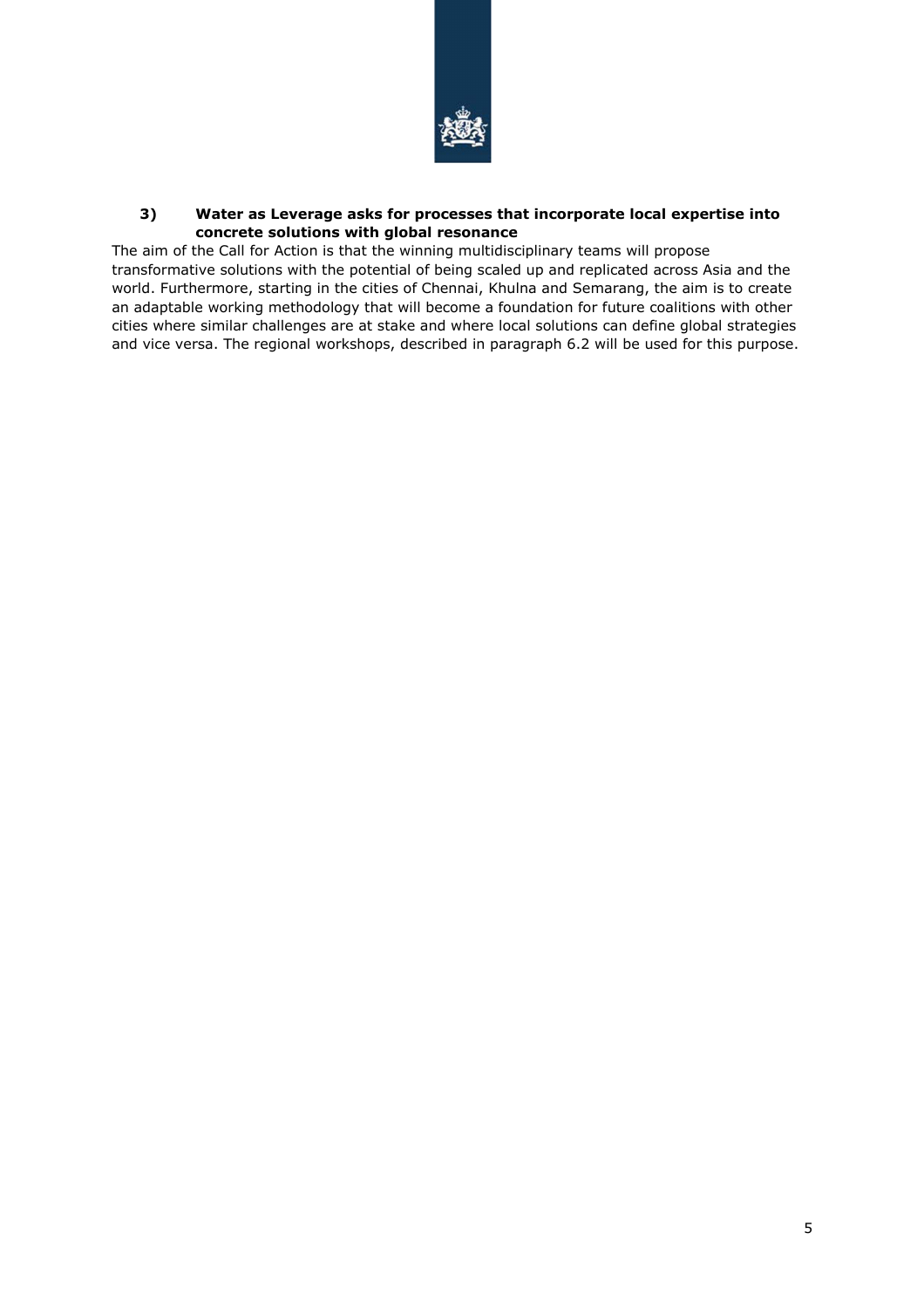

#### **3) Water as Leverage asks for processes that incorporate local expertise into concrete solutions with global resonance**

The aim of the Call for Action is that the winning multidisciplinary teams will propose transformative solutions with the potential of being scaled up and replicated across Asia and the world. Furthermore, starting in the cities of Chennai, Khulna and Semarang, the aim is to create an adaptable working methodology that will become a foundation for future coalitions with other cities where similar challenges are at stake and where local solutions can define global strategies and vice versa. The regional workshops, described in paragraph 6.2 will be used for this purpose.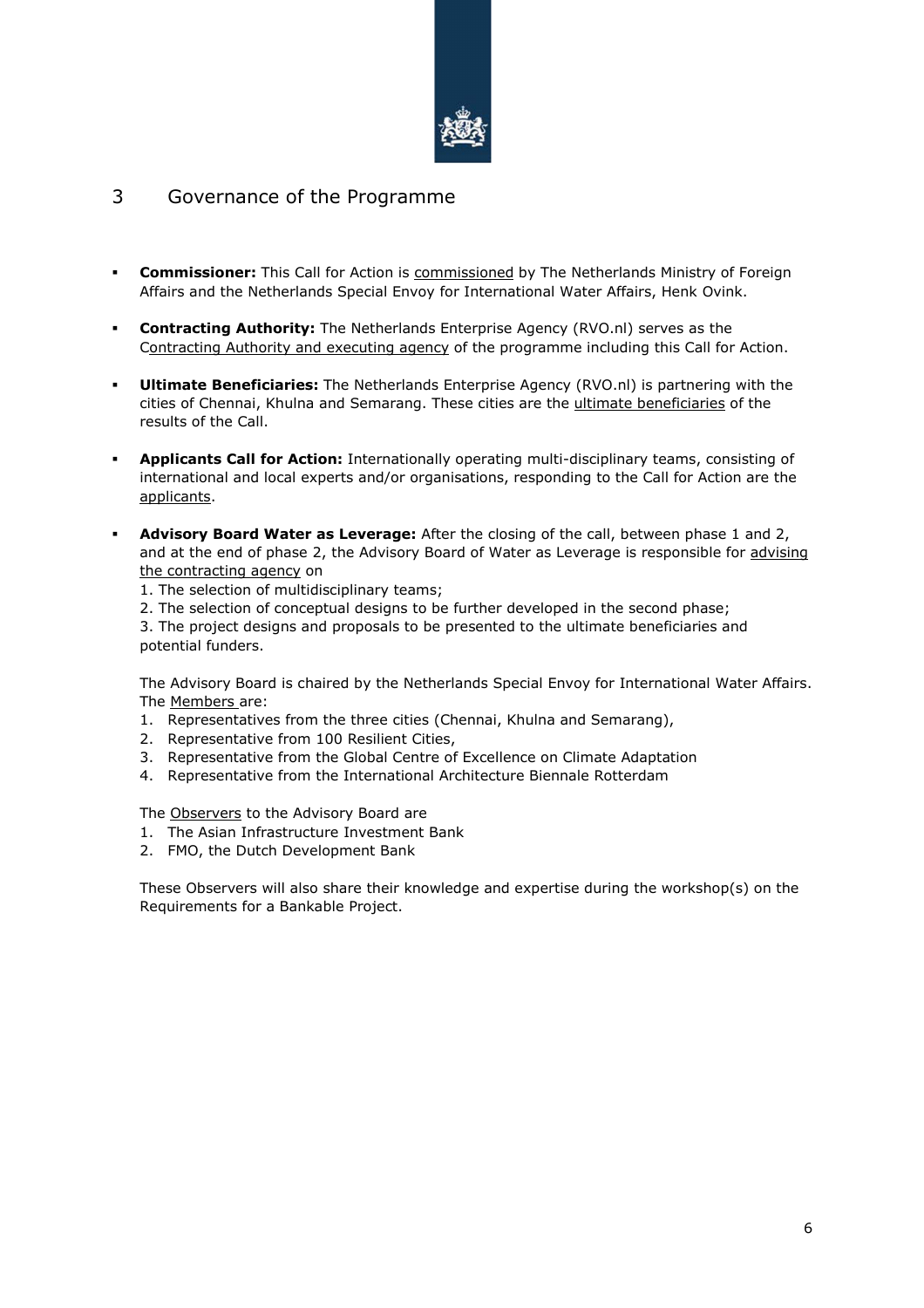

### 3 Governance of the Programme

- **Commissioner:** This Call for Action is commissioned by The Netherlands Ministry of Foreign Affairs and the Netherlands Special Envoy for International Water Affairs, Henk Ovink.
- **Contracting Authority:** The Netherlands Enterprise Agency (RVO.nl) serves as the Contracting Authority and executing agency of the programme including this Call for Action.
- **Ultimate Beneficiaries:** The Netherlands Enterprise Agency (RVO.nl) is partnering with the cities of Chennai, Khulna and Semarang. These cities are the ultimate beneficiaries of the results of the Call.
- **Applicants Call for Action:** Internationally operating multi-disciplinary teams, consisting of international and local experts and/or organisations, responding to the Call for Action are the applicants.
- **Advisory Board Water as Leverage:** After the closing of the call, between phase 1 and 2, and at the end of phase 2, the Advisory Board of Water as Leverage is responsible for advising the contracting agency on
	- 1. The selection of multidisciplinary teams;
	- 2. The selection of conceptual designs to be further developed in the second phase;

3. The project designs and proposals to be presented to the ultimate beneficiaries and potential funders.

The Advisory Board is chaired by the Netherlands Special Envoy for International Water Affairs. The Members are:

- 1. Representatives from the three cities (Chennai, Khulna and Semarang),
- 2. Representative from 100 Resilient Cities,
- 3. Representative from the Global Centre of Excellence on Climate Adaptation
- 4. Representative from the International Architecture Biennale Rotterdam

The Observers to the Advisory Board are

- 1. The Asian Infrastructure Investment Bank
- 2. FMO, the Dutch Development Bank

These Observers will also share their knowledge and expertise during the workshop(s) on the Requirements for a Bankable Project.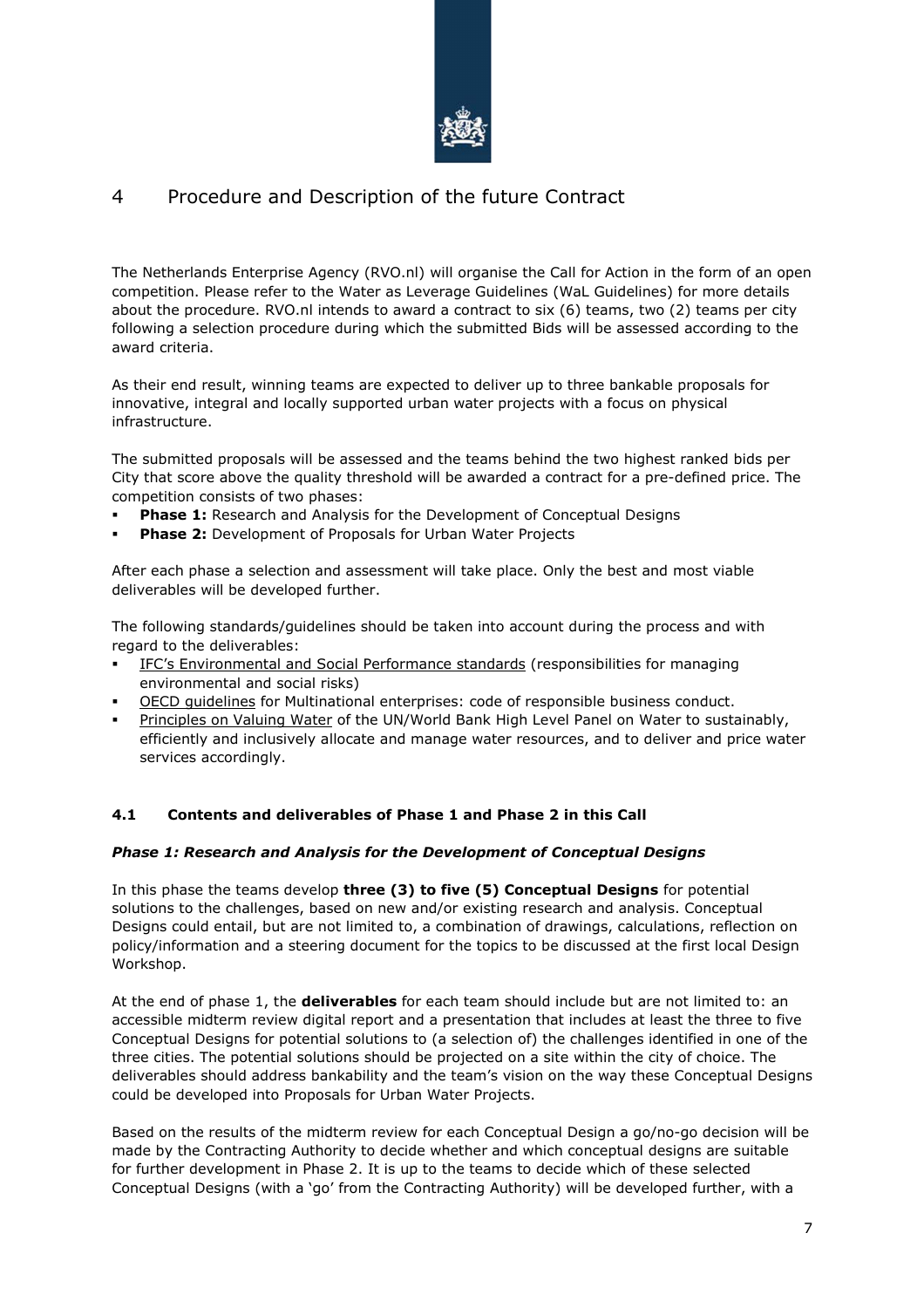

# 4 Procedure and Description of the future Contract

The Netherlands Enterprise Agency (RVO.nl) will organise the Call for Action in the form of an open competition. Please refer to the Water as Leverage Guidelines (WaL Guidelines) for more details about the procedure. RVO.nl intends to award a contract to six (6) teams, two (2) teams per city following a selection procedure during which the submitted Bids will be assessed according to the award criteria.

As their end result, winning teams are expected to deliver up to three bankable proposals for innovative, integral and locally supported urban water projects with a focus on physical infrastructure.

The submitted proposals will be assessed and the teams behind the two highest ranked bids per City that score above the quality threshold will be awarded a contract for a pre-defined price. The competition consists of two phases:

- **Phase 1:** Research and Analysis for the Development of Conceptual Designs
- **Phase 2:** Development of Proposals for Urban Water Projects

After each phase a selection and assessment will take place. Only the best and most viable deliverables will be developed further.

The following standards/guidelines should be taken into account during the process and with regard to the deliverables:

- IFC's Environmental and Social Performance standards (responsibilities for managing environmental and social risks)
- OECD guidelines for Multinational enterprises: code of responsible business conduct.
- Principles on Valuing Water of the UN/World Bank High Level Panel on Water to sustainably, efficiently and inclusively allocate and manage water resources, and to deliver and price water services accordingly.

#### **4.1 Contents and deliverables of Phase 1 and Phase 2 in this Call**

#### *Phase 1: Research and Analysis for the Development of Conceptual Designs*

In this phase the teams develop **three (3) to five (5) Conceptual Designs** for potential solutions to the challenges, based on new and/or existing research and analysis. Conceptual Designs could entail, but are not limited to, a combination of drawings, calculations, reflection on policy/information and a steering document for the topics to be discussed at the first local Design Workshop.

At the end of phase 1, the **deliverables** for each team should include but are not limited to: an accessible midterm review digital report and a presentation that includes at least the three to five Conceptual Designs for potential solutions to (a selection of) the challenges identified in one of the three cities. The potential solutions should be projected on a site within the city of choice. The deliverables should address bankability and the team's vision on the way these Conceptual Designs could be developed into Proposals for Urban Water Projects.

Based on the results of the midterm review for each Conceptual Design a go/no-go decision will be made by the Contracting Authority to decide whether and which conceptual designs are suitable for further development in Phase 2. It is up to the teams to decide which of these selected Conceptual Designs (with a 'go' from the Contracting Authority) will be developed further, with a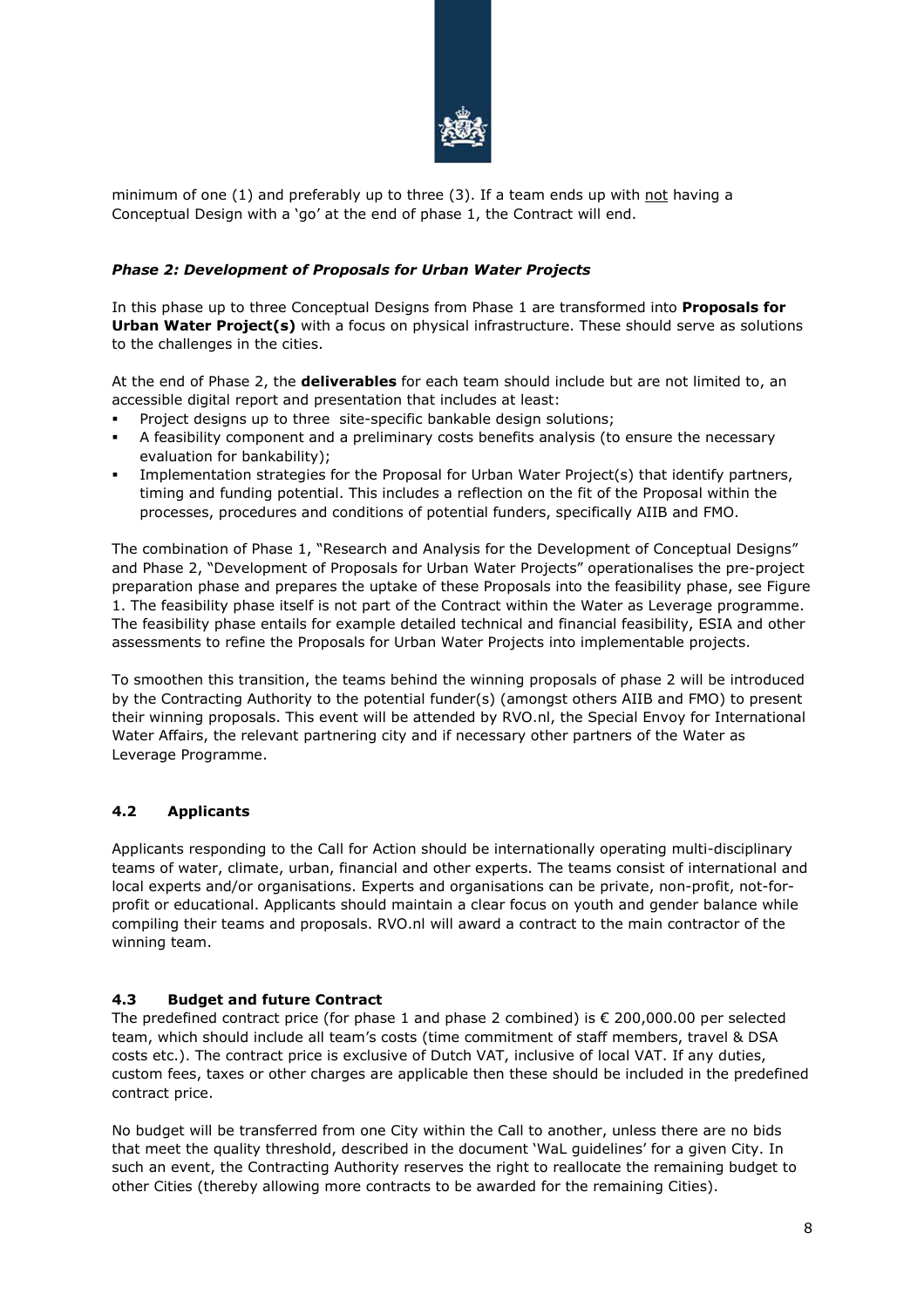

minimum of one  $(1)$  and preferably up to three  $(3)$ . If a team ends up with not having a Conceptual Design with a 'go' at the end of phase 1, the Contract will end.

#### *Phase 2: Development of Proposals for Urban Water Projects*

In this phase up to three Conceptual Designs from Phase 1 are transformed into **Proposals for Urban Water Project(s)** with a focus on physical infrastructure. These should serve as solutions to the challenges in the cities.

At the end of Phase 2, the **deliverables** for each team should include but are not limited to, an accessible digital report and presentation that includes at least:

- Project designs up to three site-specific bankable design solutions:
- A feasibility component and a preliminary costs benefits analysis (to ensure the necessary evaluation for bankability);
- Implementation strategies for the Proposal for Urban Water Project(s) that identify partners, timing and funding potential. This includes a reflection on the fit of the Proposal within the processes, procedures and conditions of potential funders, specifically AIIB and FMO.

The combination of Phase 1, "Research and Analysis for the Development of Conceptual Designs" and Phase 2, "Development of Proposals for Urban Water Projects" operationalises the pre-project preparation phase and prepares the uptake of these Proposals into the feasibility phase, see Figure 1. The feasibility phase itself is not part of the Contract within the Water as Leverage programme. The feasibility phase entails for example detailed technical and financial feasibility, ESIA and other assessments to refine the Proposals for Urban Water Projects into implementable projects.

To smoothen this transition, the teams behind the winning proposals of phase 2 will be introduced by the Contracting Authority to the potential funder(s) (amongst others AIIB and FMO) to present their winning proposals. This event will be attended by RVO.nl, the Special Envoy for International Water Affairs, the relevant partnering city and if necessary other partners of the Water as Leverage Programme.

#### **4.2 Applicants**

Applicants responding to the Call for Action should be internationally operating multi-disciplinary teams of water, climate, urban, financial and other experts. The teams consist of international and local experts and/or organisations. Experts and organisations can be private, non-profit, not-forprofit or educational. Applicants should maintain a clear focus on youth and gender balance while compiling their teams and proposals. RVO.nl will award a contract to the main contractor of the winning team.

#### **4.3 Budget and future Contract**

The predefined contract price (for phase 1 and phase 2 combined) is  $\epsilon$  200,000.00 per selected team, which should include all team's costs (time commitment of staff members, travel & DSA costs etc.). The contract price is exclusive of Dutch VAT, inclusive of local VAT. If any duties, custom fees, taxes or other charges are applicable then these should be included in the predefined contract price.

No budget will be transferred from one City within the Call to another, unless there are no bids that meet the quality threshold, described in the document 'WaL guidelines' for a given City. In such an event, the Contracting Authority reserves the right to reallocate the remaining budget to other Cities (thereby allowing more contracts to be awarded for the remaining Cities).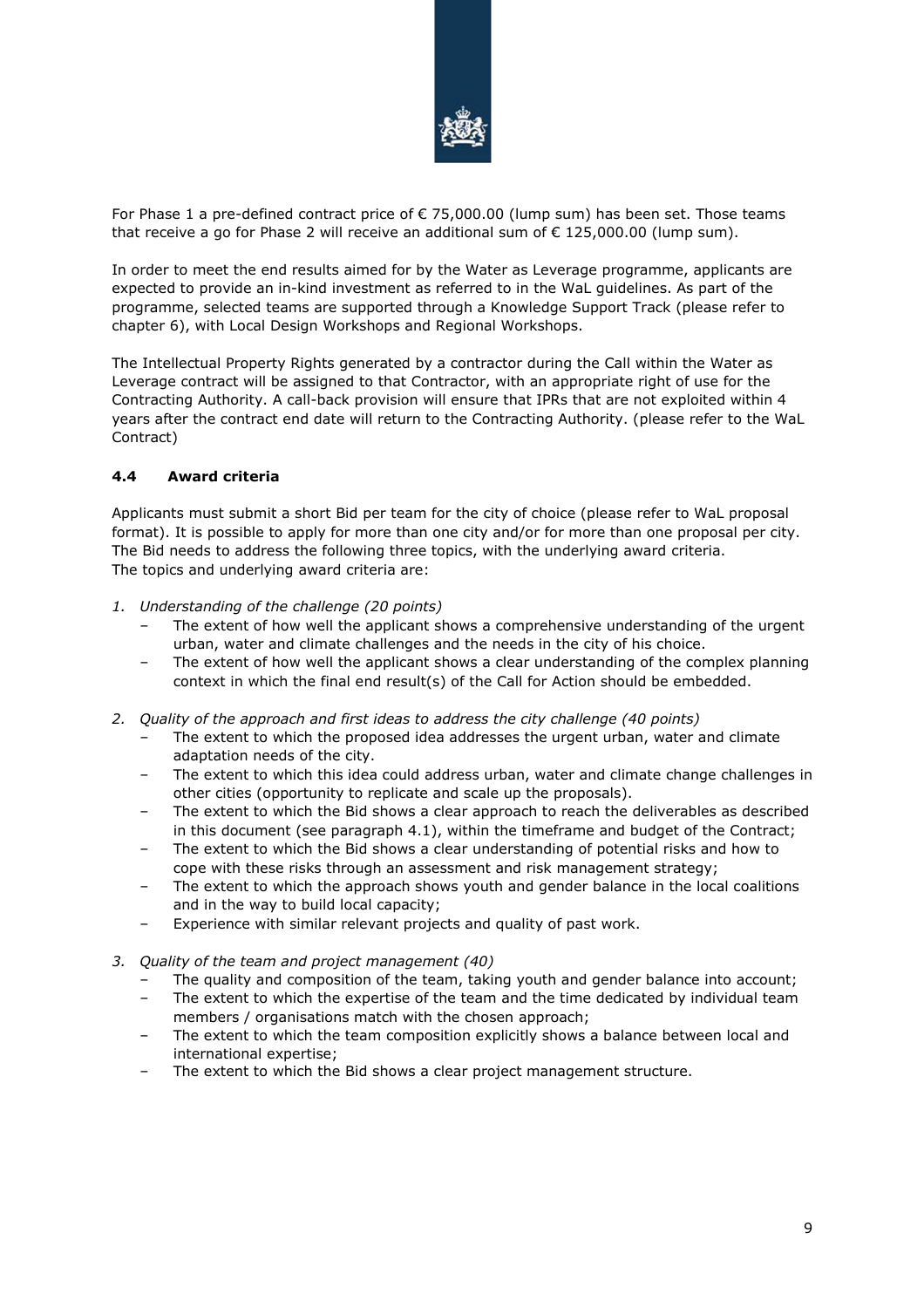

For Phase 1 a pre-defined contract price of € 75,000.00 (lump sum) has been set. Those teams that receive a go for Phase 2 will receive an additional sum of  $\epsilon$  125,000.00 (lump sum).

In order to meet the end results aimed for by the Water as Leverage programme, applicants are expected to provide an in-kind investment as referred to in the WaL guidelines. As part of the programme, selected teams are supported through a Knowledge Support Track (please refer to chapter 6), with Local Design Workshops and Regional Workshops.

The Intellectual Property Rights generated by a contractor during the Call within the Water as Leverage contract will be assigned to that Contractor, with an appropriate right of use for the Contracting Authority. A call-back provision will ensure that IPRs that are not exploited within 4 years after the contract end date will return to the Contracting Authority. (please refer to the WaL Contract)

#### **4.4 Award criteria**

Applicants must submit a short Bid per team for the city of choice (please refer to WaL proposal format). It is possible to apply for more than one city and/or for more than one proposal per city. The Bid needs to address the following three topics, with the underlying award criteria. The topics and underlying award criteria are:

- *1. Understanding of the challenge (20 points)* 
	- The extent of how well the applicant shows a comprehensive understanding of the urgent urban, water and climate challenges and the needs in the city of his choice.
	- The extent of how well the applicant shows a clear understanding of the complex planning context in which the final end result(s) of the Call for Action should be embedded.
- *2. Quality of the approach and first ideas to address the city challenge (40 points)* 
	- The extent to which the proposed idea addresses the urgent urban, water and climate adaptation needs of the city.
	- The extent to which this idea could address urban, water and climate change challenges in other cities (opportunity to replicate and scale up the proposals).
	- The extent to which the Bid shows a clear approach to reach the deliverables as described in this document (see paragraph 4.1), within the timeframe and budget of the Contract;
	- The extent to which the Bid shows a clear understanding of potential risks and how to cope with these risks through an assessment and risk management strategy;
	- The extent to which the approach shows youth and gender balance in the local coalitions and in the way to build local capacity;
	- Experience with similar relevant projects and quality of past work.
- *3. Quality of the team and project management (40)* 
	- The quality and composition of the team, taking youth and gender balance into account;
	- The extent to which the expertise of the team and the time dedicated by individual team members / organisations match with the chosen approach;
	- The extent to which the team composition explicitly shows a balance between local and international expertise;
	- The extent to which the Bid shows a clear project management structure.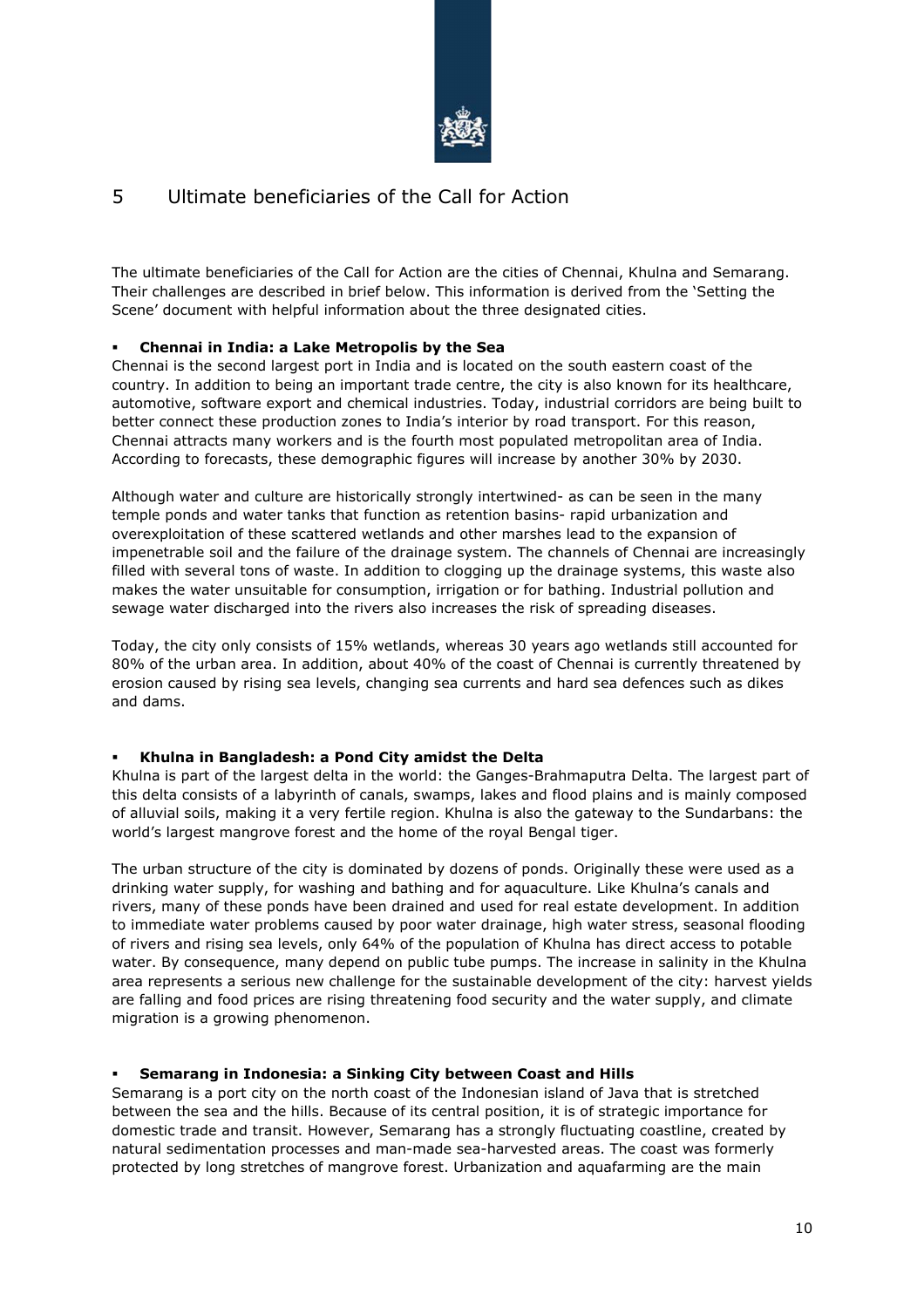

# 5 Ultimate beneficiaries of the Call for Action

The ultimate beneficiaries of the Call for Action are the cities of Chennai, Khulna and Semarang. Their challenges are described in brief below. This information is derived from the 'Setting the Scene' document with helpful information about the three designated cities.

#### **Chennai in India: a Lake Metropolis by the Sea**

Chennai is the second largest port in India and is located on the south eastern coast of the country. In addition to being an important trade centre, the city is also known for its healthcare, automotive, software export and chemical industries. Today, industrial corridors are being built to better connect these production zones to India's interior by road transport. For this reason, Chennai attracts many workers and is the fourth most populated metropolitan area of India. According to forecasts, these demographic figures will increase by another 30% by 2030.

Although water and culture are historically strongly intertwined- as can be seen in the many temple ponds and water tanks that function as retention basins- rapid urbanization and overexploitation of these scattered wetlands and other marshes lead to the expansion of impenetrable soil and the failure of the drainage system. The channels of Chennai are increasingly filled with several tons of waste. In addition to clogging up the drainage systems, this waste also makes the water unsuitable for consumption, irrigation or for bathing. Industrial pollution and sewage water discharged into the rivers also increases the risk of spreading diseases.

Today, the city only consists of 15% wetlands, whereas 30 years ago wetlands still accounted for 80% of the urban area. In addition, about 40% of the coast of Chennai is currently threatened by erosion caused by rising sea levels, changing sea currents and hard sea defences such as dikes and dams.

#### **Khulna in Bangladesh: a Pond City amidst the Delta**

Khulna is part of the largest delta in the world: the Ganges-Brahmaputra Delta. The largest part of this delta consists of a labyrinth of canals, swamps, lakes and flood plains and is mainly composed of alluvial soils, making it a very fertile region. Khulna is also the gateway to the Sundarbans: the world's largest mangrove forest and the home of the royal Bengal tiger.

The urban structure of the city is dominated by dozens of ponds. Originally these were used as a drinking water supply, for washing and bathing and for aquaculture. Like Khulna's canals and rivers, many of these ponds have been drained and used for real estate development. In addition to immediate water problems caused by poor water drainage, high water stress, seasonal flooding of rivers and rising sea levels, only 64% of the population of Khulna has direct access to potable water. By consequence, many depend on public tube pumps. The increase in salinity in the Khulna area represents a serious new challenge for the sustainable development of the city: harvest yields are falling and food prices are rising threatening food security and the water supply, and climate migration is a growing phenomenon.

#### **Semarang in Indonesia: a Sinking City between Coast and Hills**

Semarang is a port city on the north coast of the Indonesian island of Java that is stretched between the sea and the hills. Because of its central position, it is of strategic importance for domestic trade and transit. However, Semarang has a strongly fluctuating coastline, created by natural sedimentation processes and man-made sea-harvested areas. The coast was formerly protected by long stretches of mangrove forest. Urbanization and aquafarming are the main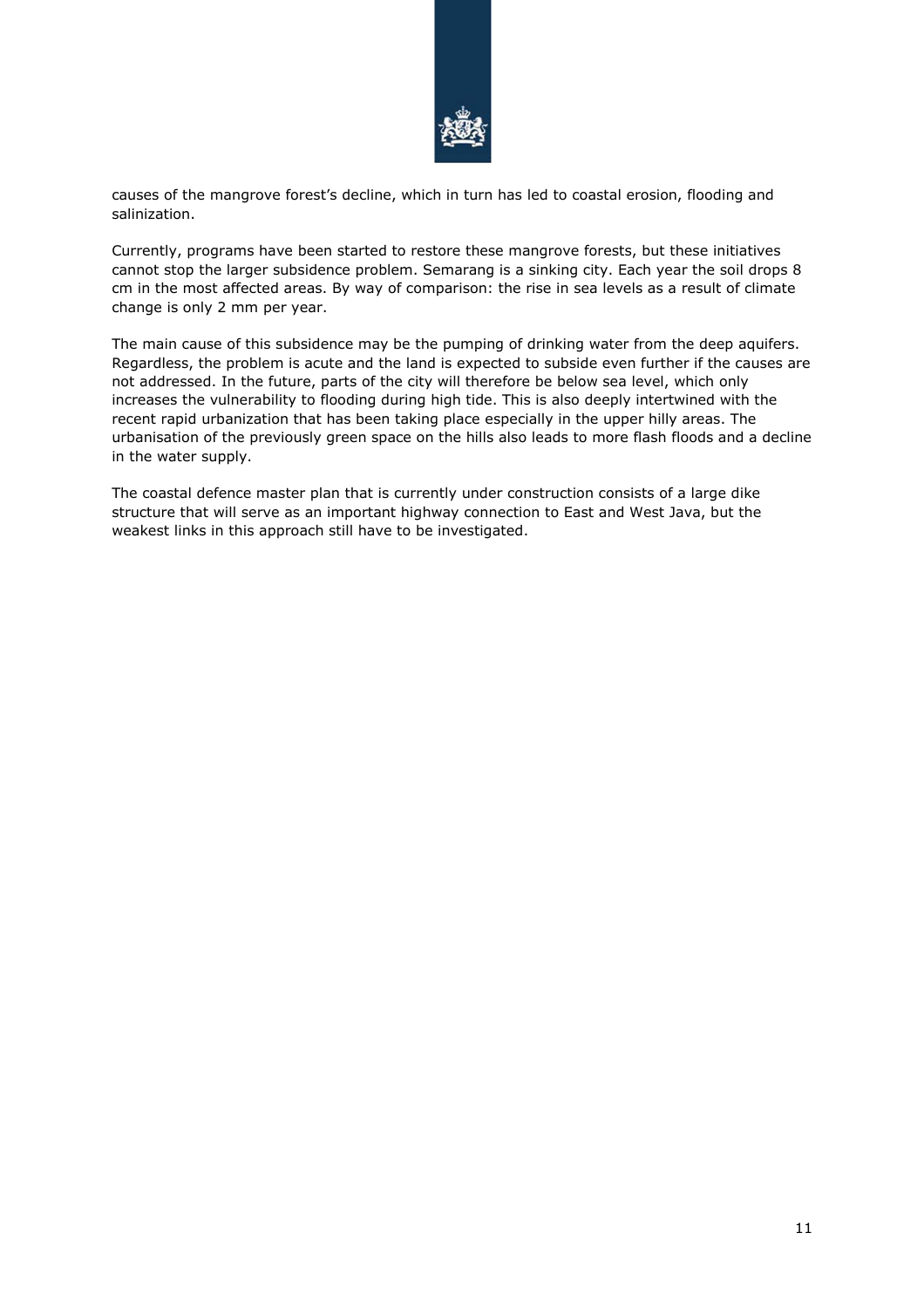

causes of the mangrove forest's decline, which in turn has led to coastal erosion, flooding and salinization.

Currently, programs have been started to restore these mangrove forests, but these initiatives cannot stop the larger subsidence problem. Semarang is a sinking city. Each year the soil drops 8 cm in the most affected areas. By way of comparison: the rise in sea levels as a result of climate change is only 2 mm per year.

The main cause of this subsidence may be the pumping of drinking water from the deep aquifers. Regardless, the problem is acute and the land is expected to subside even further if the causes are not addressed. In the future, parts of the city will therefore be below sea level, which only increases the vulnerability to flooding during high tide. This is also deeply intertwined with the recent rapid urbanization that has been taking place especially in the upper hilly areas. The urbanisation of the previously green space on the hills also leads to more flash floods and a decline in the water supply.

The coastal defence master plan that is currently under construction consists of a large dike structure that will serve as an important highway connection to East and West Java, but the weakest links in this approach still have to be investigated.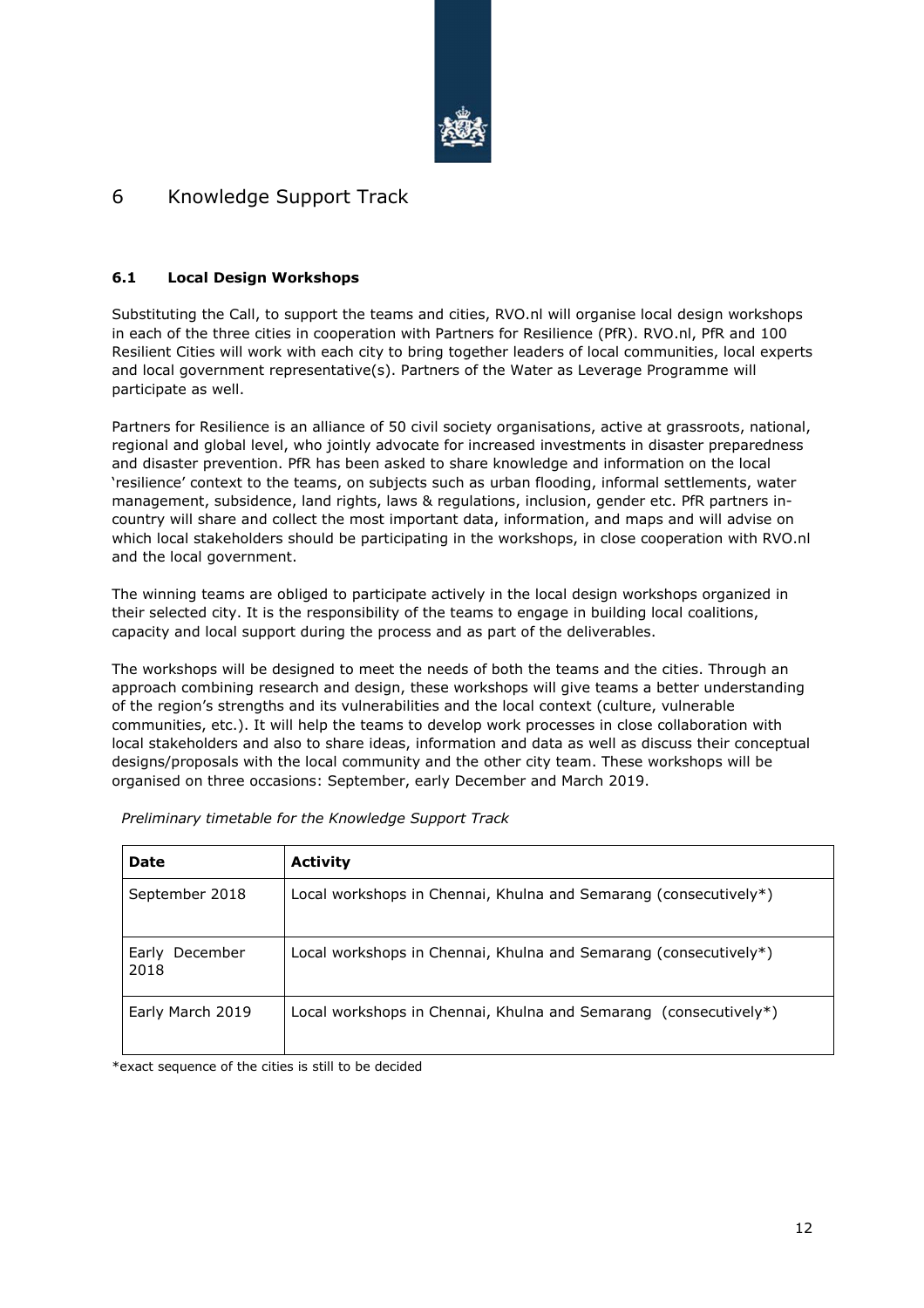

# 6 Knowledge Support Track

#### **6.1 Local Design Workshops**

Substituting the Call, to support the teams and cities, RVO.nl will organise local design workshops in each of the three cities in cooperation with Partners for Resilience (PfR). RVO.nl, PfR and 100 Resilient Cities will work with each city to bring together leaders of local communities, local experts and local government representative(s). Partners of the Water as Leverage Programme will participate as well.

Partners for Resilience is an alliance of 50 civil society organisations, active at grassroots, national, regional and global level, who jointly advocate for increased investments in disaster preparedness and disaster prevention. PfR has been asked to share knowledge and information on the local 'resilience' context to the teams, on subjects such as urban flooding, informal settlements, water management, subsidence, land rights, laws & regulations, inclusion, gender etc. PfR partners incountry will share and collect the most important data, information, and maps and will advise on which local stakeholders should be participating in the workshops, in close cooperation with RVO.nl and the local government.

The winning teams are obliged to participate actively in the local design workshops organized in their selected city. It is the responsibility of the teams to engage in building local coalitions, capacity and local support during the process and as part of the deliverables.

The workshops will be designed to meet the needs of both the teams and the cities. Through an approach combining research and design, these workshops will give teams a better understanding of the region's strengths and its vulnerabilities and the local context (culture, vulnerable communities, etc.). It will help the teams to develop work processes in close collaboration with local stakeholders and also to share ideas, information and data as well as discuss their conceptual designs/proposals with the local community and the other city team. These workshops will be organised on three occasions: September, early December and March 2019.

| <b>Date</b>               | <b>Activity</b>                                                  |
|---------------------------|------------------------------------------------------------------|
| September 2018            | Local workshops in Chennai, Khulna and Semarang (consecutively*) |
| December<br>Early<br>2018 | Local workshops in Chennai, Khulna and Semarang (consecutively*) |
| Early March 2019          | Local workshops in Chennai, Khulna and Semarang (consecutively*) |

*Preliminary timetable for the Knowledge Support Track* 

\*exact sequence of the cities is still to be decided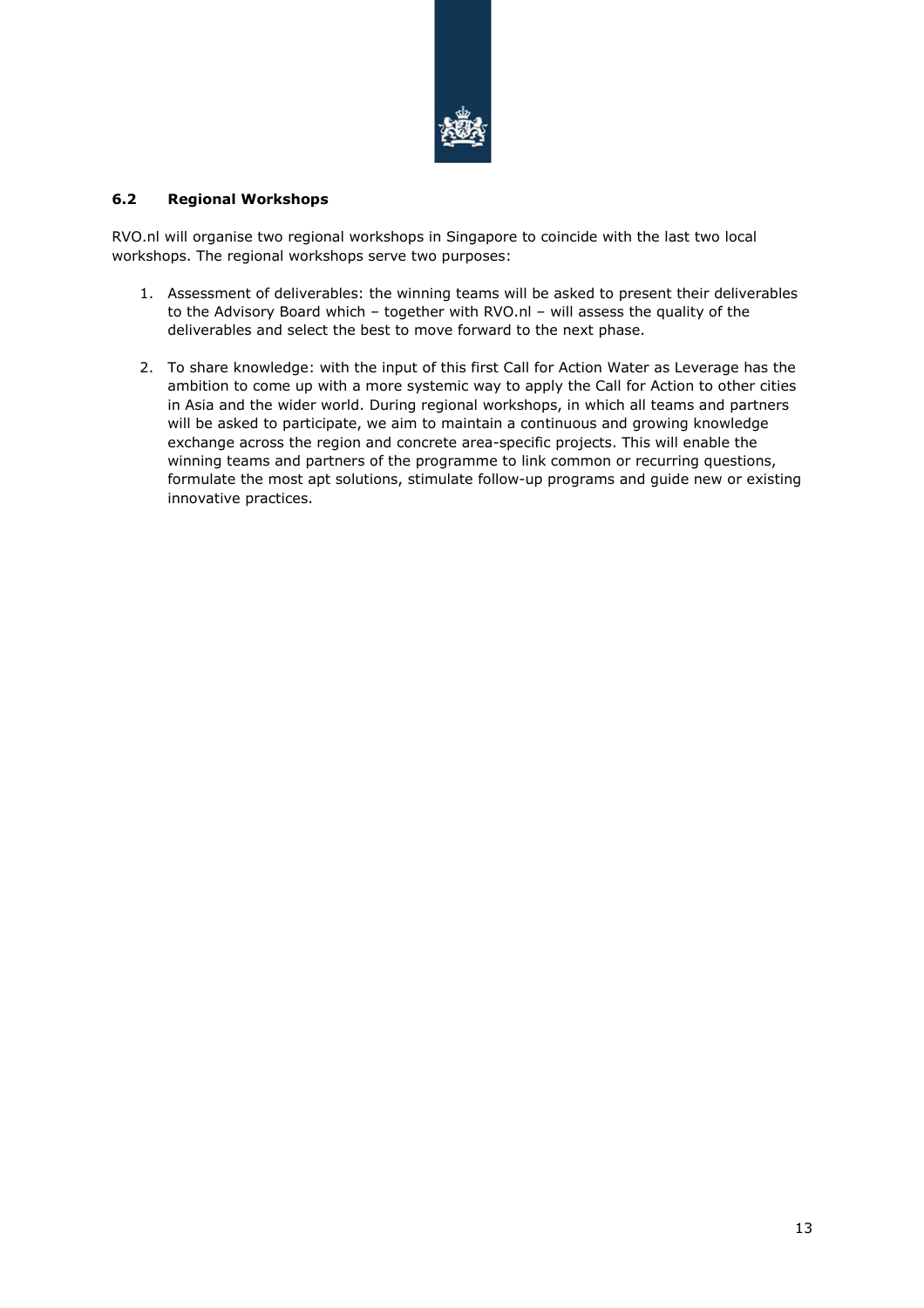

#### **6.2 Regional Workshops**

RVO.nl will organise two regional workshops in Singapore to coincide with the last two local workshops. The regional workshops serve two purposes:

- 1. Assessment of deliverables: the winning teams will be asked to present their deliverables to the Advisory Board which – together with RVO.nl – will assess the quality of the deliverables and select the best to move forward to the next phase.
- 2. To share knowledge: with the input of this first Call for Action Water as Leverage has the ambition to come up with a more systemic way to apply the Call for Action to other cities in Asia and the wider world. During regional workshops, in which all teams and partners will be asked to participate, we aim to maintain a continuous and growing knowledge exchange across the region and concrete area-specific projects. This will enable the winning teams and partners of the programme to link common or recurring questions, formulate the most apt solutions, stimulate follow-up programs and guide new or existing innovative practices.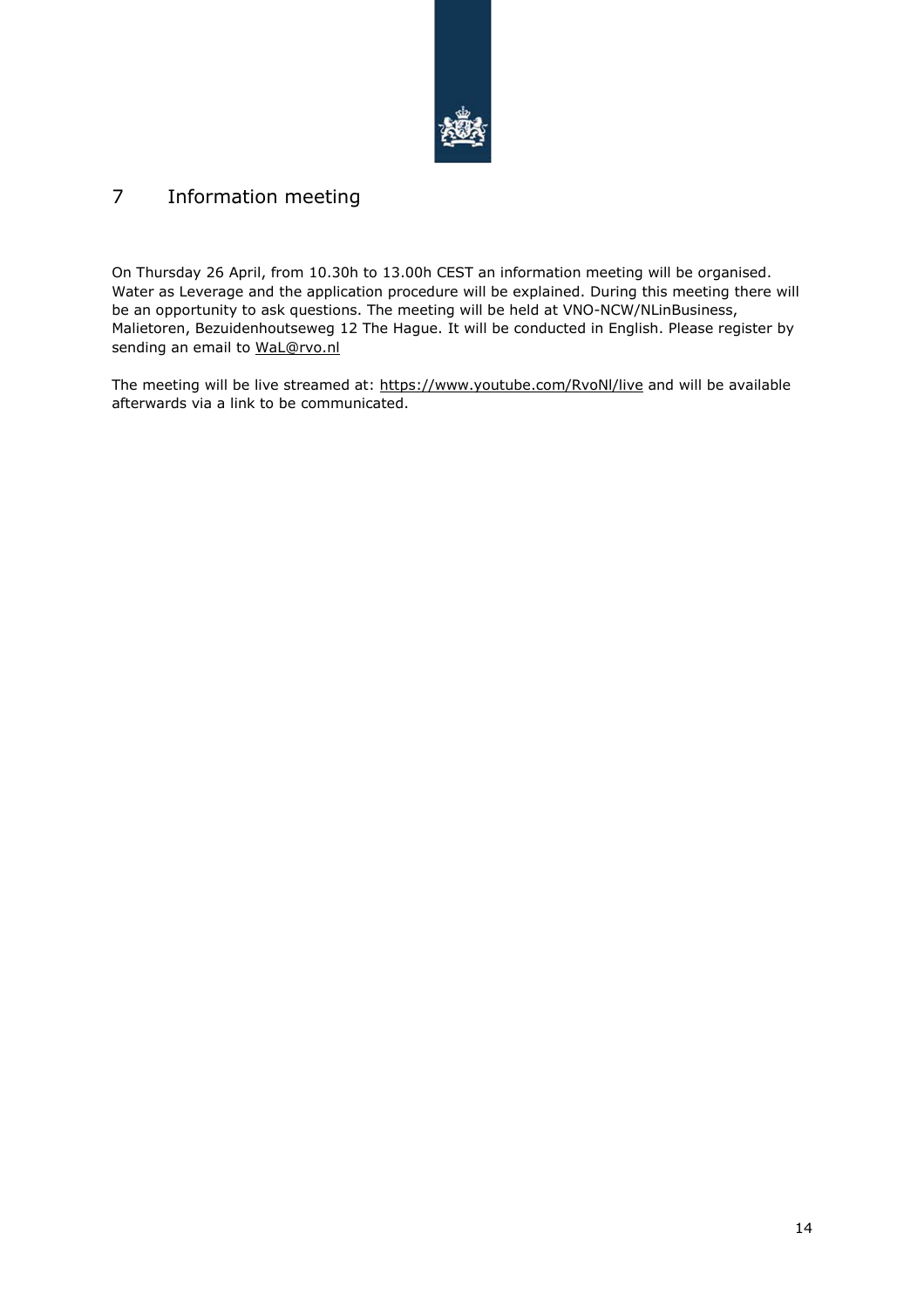

# 7 Information meeting

On Thursday 26 April, from 10.30h to 13.00h CEST an information meeting will be organised. Water as Leverage and the application procedure will be explained. During this meeting there will be an opportunity to ask questions. The meeting will be held at VNO-NCW/NLinBusiness, Malietoren, Bezuidenhoutseweg 12 The Hague. It will be conducted in English. Please register by sending an email to WaL@rvo.nl

The meeting will be live streamed at: https://www.youtube.com/RvoNl/live and will be available afterwards via a link to be communicated.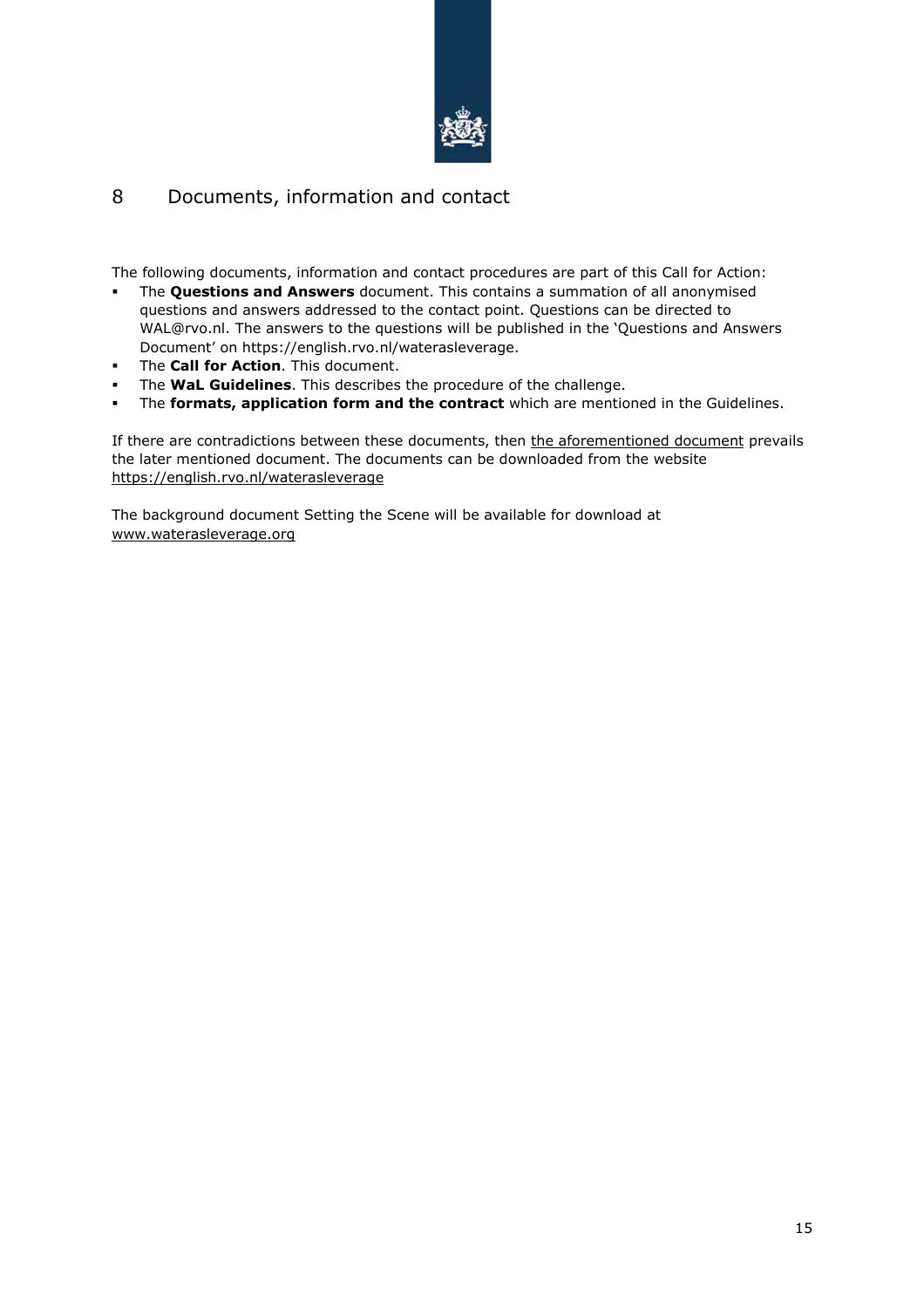

# 8 Documents, information and contact

The following documents, information and contact procedures are part of this Call for Action:

- The **Questions and Answers** document. This contains a summation of all anonymised questions and answers addressed to the contact point. Questions can be directed to WAL@rvo.nl. The answers to the questions will be published in the 'Questions and Answers Document' on https://english.rvo.nl/waterasleverage.
- The **Call for Action**. This document.
- The **WaL Guidelines**. This describes the procedure of the challenge.
- The **formats, application form and the contract** which are mentioned in the Guidelines.

If there are contradictions between these documents, then the aforementioned document prevails the later mentioned document. The documents can be downloaded from the website https://english.rvo.nl/waterasleverage

The background document Setting the Scene will be available for download at www.waterasleverage.org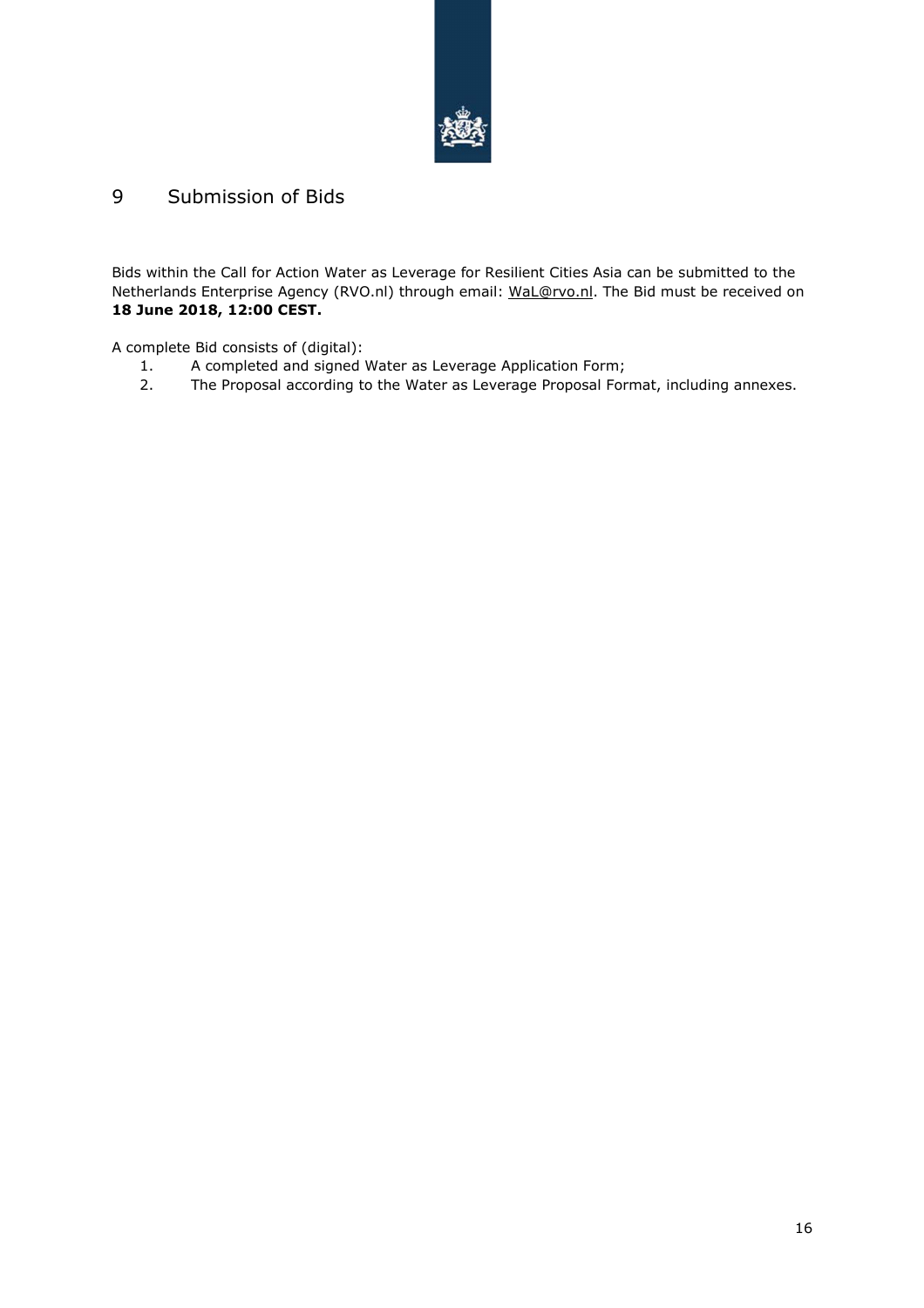

# 9 Submission of Bids

Bids within the Call for Action Water as Leverage for Resilient Cities Asia can be submitted to the Netherlands Enterprise Agency (RVO.nl) through email: WaL@rvo.nl. The Bid must be received on **18 June 2018, 12:00 CEST.** 

A complete Bid consists of (digital):

- 1. A completed and signed Water as Leverage Application Form;
- 2. The Proposal according to the Water as Leverage Proposal Format, including annexes.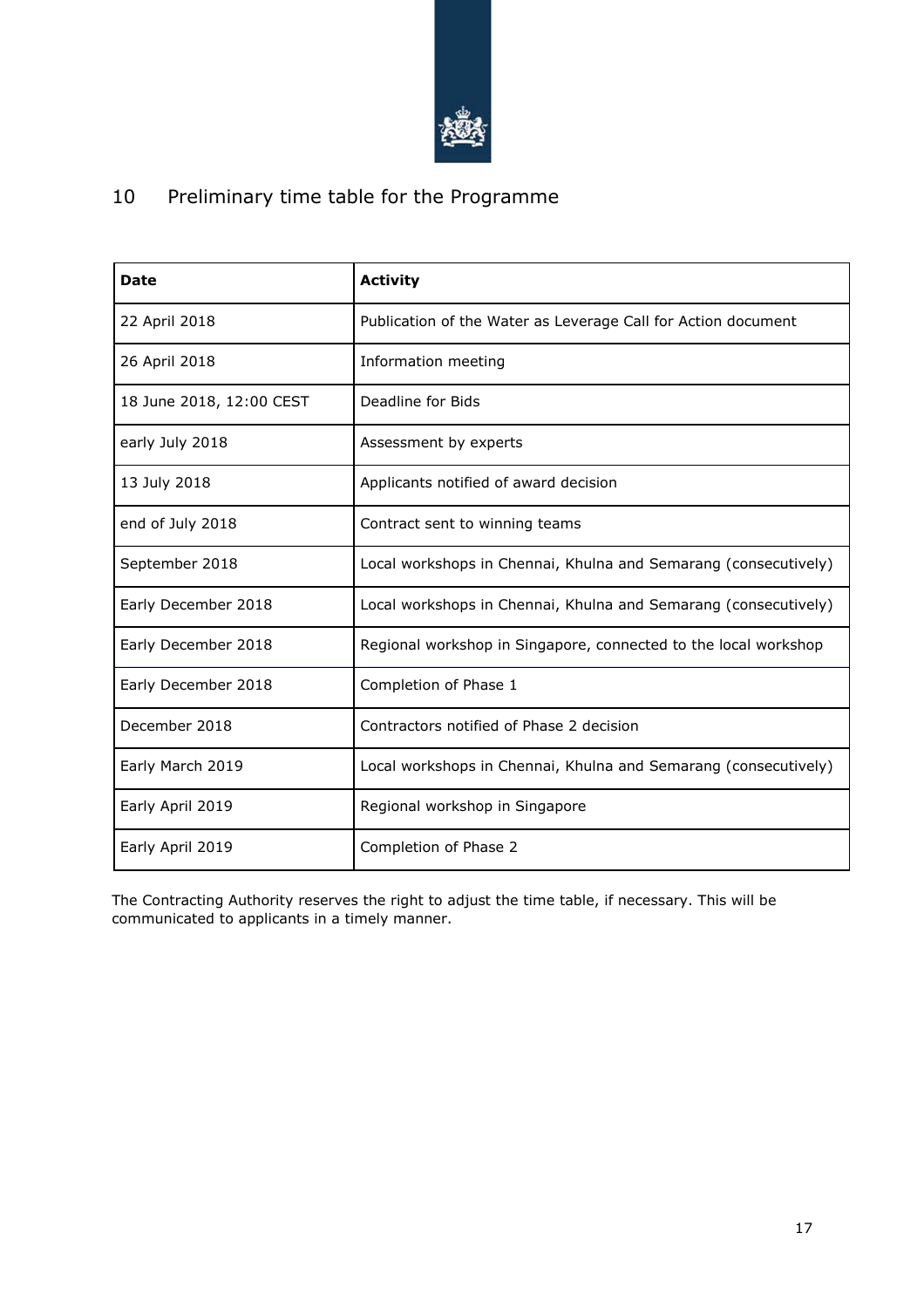

# 10 Preliminary time table for the Programme

| <b>Date</b>              | <b>Activity</b>                                                 |
|--------------------------|-----------------------------------------------------------------|
| 22 April 2018            | Publication of the Water as Leverage Call for Action document   |
| 26 April 2018            | Information meeting                                             |
| 18 June 2018, 12:00 CEST | Deadline for Bids                                               |
| early July 2018          | Assessment by experts                                           |
| 13 July 2018             | Applicants notified of award decision                           |
| end of July 2018         | Contract sent to winning teams                                  |
| September 2018           | Local workshops in Chennai, Khulna and Semarang (consecutively) |
| Early December 2018      | Local workshops in Chennai, Khulna and Semarang (consecutively) |
| Early December 2018      | Regional workshop in Singapore, connected to the local workshop |
| Early December 2018      | Completion of Phase 1                                           |
| December 2018            | Contractors notified of Phase 2 decision                        |
| Early March 2019         | Local workshops in Chennai, Khulna and Semarang (consecutively) |
| Early April 2019         | Regional workshop in Singapore                                  |
| Early April 2019         | Completion of Phase 2                                           |

The Contracting Authority reserves the right to adjust the time table, if necessary. This will be communicated to applicants in a timely manner.